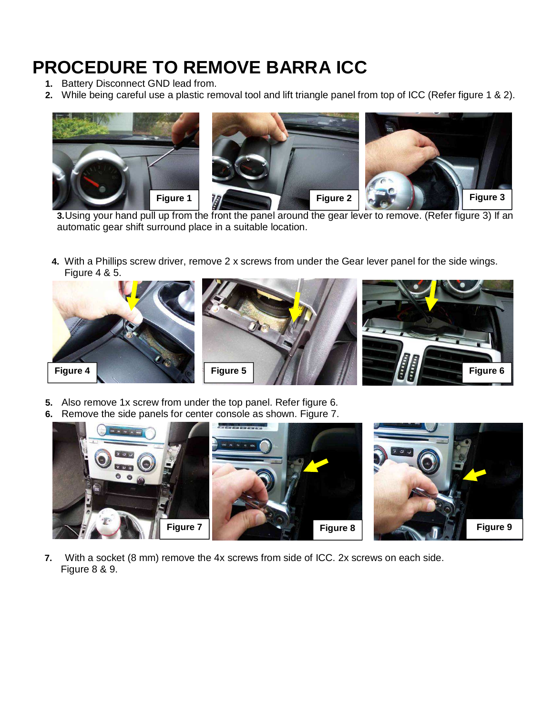## **PROCEDURE TO REMOVE BARRA ICC**

- **1.** Battery Disconnect GND lead from.
- **2.** While being careful use a plastic removal tool and lift triangle panel from top of ICC (Refer figure 1 & 2).



**3.** Using your hand pull up from the front the panel around the gear lever to remove. (Refer figure 3) If an automatic gear shift surround place in a suitable location.

**4.** With a Phillips screw driver, remove 2 x screws from under the Gear lever panel for the side wings. Figure 4 & 5.



- **5.** Also remove 1x screw from under the top panel. Refer figure 6.
- **6.** Remove the side panels for center console as shown. Figure 7.



**7.** With a socket (8 mm) remove the 4x screws from side of ICC. 2x screws on each side. Figure 8 & 9.